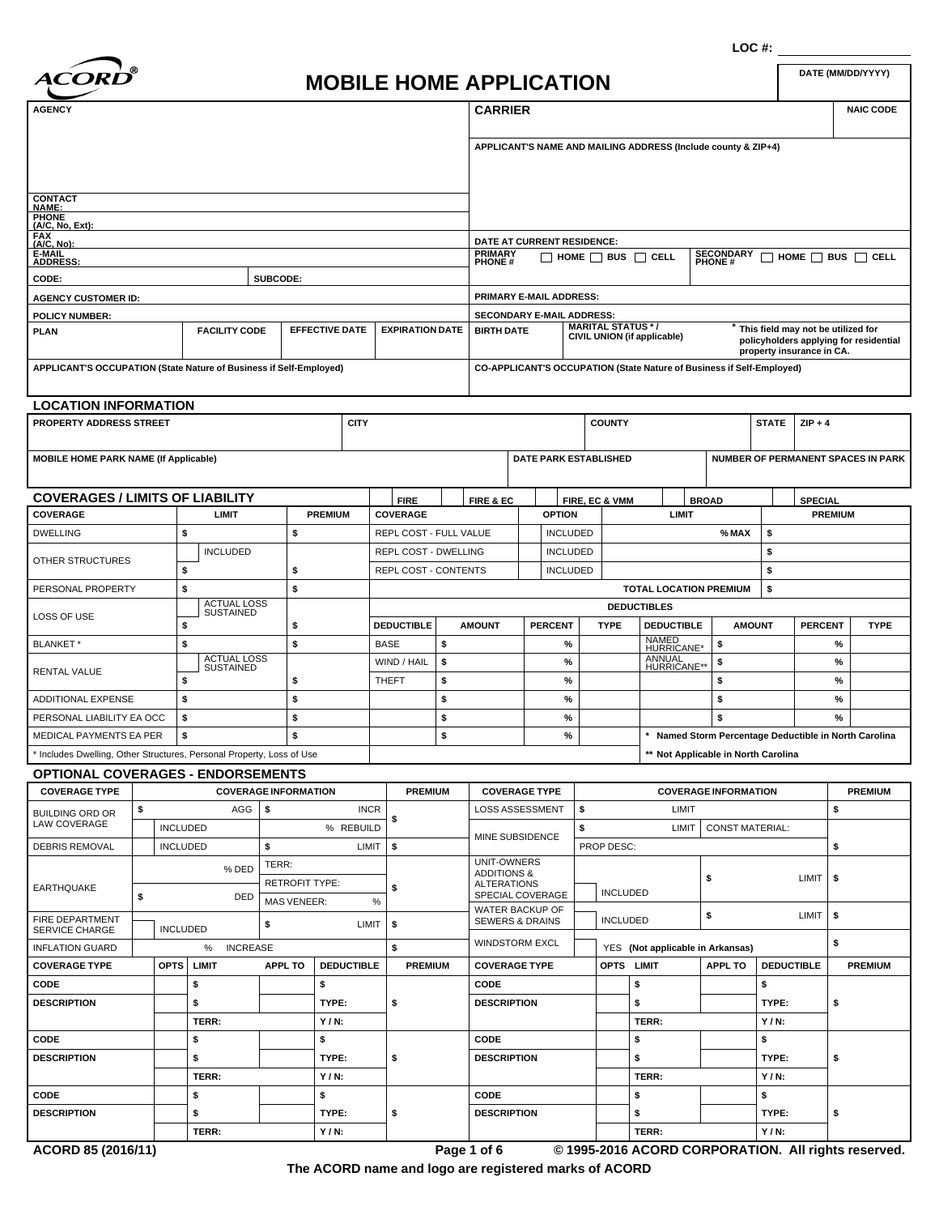

# **DATE (MM/DD/YYYY) MOBILE HOME APPLICATION**

| <b>AGENCY</b>                                                         |                            |                        |                      |                             |                       |                        |                | <b>CARRIER</b>                                |                |                              |             |                                         |                                                                       |                                   |                           |                | <b>NAIC CODE</b>                                                             |  |
|-----------------------------------------------------------------------|----------------------------|------------------------|----------------------|-----------------------------|-----------------------|------------------------|----------------|-----------------------------------------------|----------------|------------------------------|-------------|-----------------------------------------|-----------------------------------------------------------------------|-----------------------------------|---------------------------|----------------|------------------------------------------------------------------------------|--|
|                                                                       |                            |                        |                      |                             |                       |                        |                |                                               |                |                              |             |                                         | APPLICANT'S NAME AND MAILING ADDRESS (Include county & ZIP+4)         |                                   |                           |                |                                                                              |  |
| <b>CONTACT</b>                                                        |                            |                        |                      |                             |                       |                        |                |                                               |                |                              |             |                                         |                                                                       |                                   |                           |                |                                                                              |  |
| <b>NAME:</b><br><b>PHONE</b>                                          |                            |                        |                      |                             |                       |                        |                |                                               |                |                              |             |                                         |                                                                       |                                   |                           |                |                                                                              |  |
| (A/C, No, Ext):                                                       |                            |                        |                      |                             |                       |                        |                |                                               |                |                              |             |                                         |                                                                       |                                   |                           |                |                                                                              |  |
| FAX<br>(A/C, No):                                                     |                            |                        |                      |                             |                       |                        |                | DATE AT CURRENT RESIDENCE:                    |                |                              |             |                                         |                                                                       |                                   |                           |                |                                                                              |  |
| <b>E-MAIL</b><br><b>ADDRESS:</b>                                      |                            |                        |                      |                             |                       |                        |                | <b>PRIMARY</b><br><b>PHONE#</b>               |                |                              |             |                                         | $\Box$ home $\Box$ bus $\Box$ cell                                    | <b>SECONDARY</b><br><b>PHONE#</b> |                           |                | $\Box$ home $\Box$ bus $\Box$ cell                                           |  |
| CODE:                                                                 |                            |                        |                      | SUBCODE:                    |                       |                        |                |                                               |                |                              |             |                                         |                                                                       |                                   |                           |                |                                                                              |  |
| <b>AGENCY CUSTOMER ID:</b>                                            |                            |                        |                      |                             |                       |                        |                | PRIMARY E-MAIL ADDRESS:                       |                |                              |             |                                         |                                                                       |                                   |                           |                |                                                                              |  |
| <b>POLICY NUMBER:</b>                                                 |                            |                        |                      |                             |                       |                        |                | <b>SECONDARY E-MAIL ADDRESS:</b>              |                |                              |             |                                         |                                                                       |                                   |                           |                |                                                                              |  |
| <b>PLAN</b>                                                           |                            |                        | <b>FACILITY CODE</b> |                             | <b>EFFECTIVE DATE</b> | <b>EXPIRATION DATE</b> |                | <b>BIRTH DATE</b>                             |                |                              |             | <b>MARITAL STATUS */</b>                | CIVIL UNION (if applicable)                                           |                                   | property insurance in CA. |                | This field may not be utilized for<br>policyholders applying for residential |  |
| APPLICANT'S OCCUPATION (State Nature of Business if Self-Employed)    |                            |                        |                      |                             |                       |                        |                |                                               |                |                              |             |                                         | CO-APPLICANT'S OCCUPATION (State Nature of Business if Self-Employed) |                                   |                           |                |                                                                              |  |
| <b>LOCATION INFORMATION</b>                                           |                            |                        |                      |                             |                       |                        |                |                                               |                |                              |             |                                         |                                                                       |                                   |                           |                |                                                                              |  |
| <b>PROPERTY ADDRESS STREET</b>                                        |                            |                        |                      |                             | <b>CITY</b>           |                        |                |                                               |                |                              |             | <b>COUNTY</b>                           |                                                                       |                                   | <b>STATE</b>              | $ZIP + 4$      |                                                                              |  |
| <b>MOBILE HOME PARK NAME (If Applicable)</b>                          |                            |                        |                      |                             |                       |                        |                |                                               |                | <b>DATE PARK ESTABLISHED</b> |             |                                         |                                                                       |                                   |                           |                | <b>NUMBER OF PERMANENT SPACES IN PARK</b>                                    |  |
| <b>COVERAGES / LIMITS OF LIABILITY</b>                                |                            |                        |                      |                             |                       | <b>FIRE</b>            |                | FIRE & EC                                     |                |                              |             | FIRE, EC & VMM                          |                                                                       | <b>BROAD</b>                      |                           | <b>SPECIAL</b> |                                                                              |  |
| COVERAGE                                                              |                            |                        | LIMIT                |                             | <b>PREMIUM</b>        | <b>COVERAGE</b>        |                |                                               |                | <b>OPTION</b>                |             |                                         | LIMIT                                                                 |                                   |                           |                | <b>PREMIUM</b>                                                               |  |
| <b>DWELLING</b>                                                       |                            | \$                     |                      | \$                          |                       | REPL COST - FULL VALUE |                |                                               |                | <b>INCLUDED</b>              |             |                                         |                                                                       | % MAX                             | \$                        |                |                                                                              |  |
|                                                                       |                            |                        | <b>INCLUDED</b>      |                             |                       | REPL COST - DWELLING   |                |                                               |                | <b>INCLUDED</b>              |             |                                         |                                                                       |                                   | \$                        |                |                                                                              |  |
| OTHER STRUCTURES                                                      |                            | \$                     |                      |                             |                       | REPL COST - CONTENTS   |                |                                               |                |                              |             |                                         |                                                                       |                                   | \$                        |                |                                                                              |  |
|                                                                       |                            |                        |                      | \$                          |                       |                        |                | <b>INCLUDED</b>                               |                |                              |             |                                         |                                                                       | <b>TOTAL LOCATION PREMIUM</b>     |                           |                |                                                                              |  |
| PERSONAL PROPERTY                                                     |                            | \$                     | <b>ACTUAL LOSS</b>   | \$                          |                       |                        |                |                                               |                |                              |             |                                         |                                                                       |                                   | \$                        |                |                                                                              |  |
| LOSS OF USE                                                           | <b>SUSTAINED</b><br>\$     |                        | \$                   |                             | <b>DEDUCTIBLE</b>     |                        | <b>AMOUNT</b>  |                                               | <b>PERCENT</b> |                              | <b>TYPE</b> | <b>DEDUCTIBLES</b><br><b>DEDUCTIBLE</b> |                                                                       | <b>AMOUNT</b>                     | <b>PERCENT</b>            | <b>TYPE</b>    |                                                                              |  |
| BLANKET*                                                              |                            | \$                     |                      | \$                          |                       | <b>BASE</b>            | \$             |                                               |                | $\%$                         |             |                                         | NAMED<br>HURRICANE*                                                   | \$                                |                           |                | %                                                                            |  |
|                                                                       |                            |                        | <b>ACTUAL LOSS</b>   |                             |                       | WIND / HAIL            | \$             |                                               |                | $\%$                         |             |                                         | ANNUAL                                                                | \$                                |                           |                | %                                                                            |  |
| RENTAL VALUE                                                          |                            | <b>SUSTAINED</b><br>\$ |                      | \$                          |                       | <b>THEFT</b>           | \$             |                                               |                | $\%$                         |             |                                         | HURRICANE**                                                           | \$                                |                           |                | %                                                                            |  |
| ADDITIONAL EXPENSE                                                    |                            | \$                     |                      | \$                          |                       |                        | \$             |                                               |                | $\%$                         |             |                                         |                                                                       | \$                                |                           |                | %                                                                            |  |
| PERSONAL LIABILITY EA OCC                                             |                            | \$                     |                      | \$                          |                       |                        | \$             |                                               |                | $\%$                         |             |                                         |                                                                       | \$                                |                           |                | %                                                                            |  |
| MEDICAL PAYMENTS EA PER                                               |                            | \$                     |                      | \$                          |                       |                        | \$             |                                               |                | %                            |             |                                         |                                                                       |                                   |                           |                | Named Storm Percentage Deductible in North Carolina                          |  |
|                                                                       |                            |                        |                      |                             |                       |                        |                |                                               |                |                              |             |                                         |                                                                       |                                   |                           |                |                                                                              |  |
| * Includes Dwelling, Other Structures, Personal Property, Loss of Use |                            |                        |                      |                             |                       |                        |                |                                               |                |                              |             |                                         | ** Not Applicable in North Carolina                                   |                                   |                           |                |                                                                              |  |
| <b>OPTIONAL COVERAGES - ENDORSEMENTS</b>                              |                            |                        |                      |                             |                       |                        |                |                                               |                |                              |             |                                         |                                                                       |                                   |                           |                |                                                                              |  |
| <b>COVERAGE TYPE</b>                                                  |                            |                        |                      | <b>COVERAGE INFORMATION</b> |                       |                        | <b>PREMIUM</b> |                                               |                | <b>COVERAGE TYPE</b>         |             |                                         |                                                                       | <b>COVERAGE INFORMATION</b>       |                           |                | <b>PREMIUM</b>                                                               |  |
| <b>BUILDING ORD OR</b><br>LAW COVERAGE                                | \$                         |                        | AGG                  | \$                          | <b>INCR</b>           | \$                     |                | LOSS ASSESSMENT                               |                |                              | \$          |                                         | LIMIT                                                                 |                                   |                           |                | \$                                                                           |  |
|                                                                       |                            | <b>INCLUDED</b>        |                      |                             | % REBUILD             |                        |                | MINE SUBSIDENCE                               |                |                              | \$          |                                         | LIMIT                                                                 | <b>CONST MATERIAL:</b>            |                           |                |                                                                              |  |
| DEBRIS REMOVAL                                                        |                            | <b>INCLUDED</b>        |                      | \$                          | LIMIT                 | \$                     |                |                                               |                |                              |             | PROP DESC:                              |                                                                       |                                   |                           |                | \$                                                                           |  |
|                                                                       |                            |                        | TERR:<br>% DED       |                             |                       |                        |                | UNIT-OWNERS<br><b>ADDITIONS &amp;</b>         |                |                              |             |                                         |                                                                       |                                   |                           | LIMIT          |                                                                              |  |
| EARTHQUAKE                                                            |                            |                        |                      | <b>RETROFIT TYPE:</b>       |                       | \$                     |                | <b>ALTERATIONS</b><br>SPECIAL COVERAGE        |                |                              |             |                                         | \$<br><b>INCLUDED</b>                                                 |                                   |                           |                | \$                                                                           |  |
| <b>FIRE DEPARTMENT</b>                                                | \$                         |                        | DED                  | <b>MAS VENEER:</b><br>\$    | LIMIT                 | $\%$<br>\$             |                | WATER BACKUP OF<br><b>SEWERS &amp; DRAINS</b> |                |                              |             | <b>INCLUDED</b>                         |                                                                       | \$                                | LIMIT                     |                | \$                                                                           |  |
| SERVICE CHARGE                                                        |                            | <b>INCLUDED</b>        |                      |                             |                       |                        |                | WINDSTORM EXCL                                |                |                              |             |                                         |                                                                       |                                   |                           |                | \$                                                                           |  |
|                                                                       | <b>INCREASE</b><br>\$<br>% |                        |                      |                             |                       |                        |                |                                               |                |                              |             |                                         | YES (Not applicable in Arkansas)                                      |                                   |                           |                |                                                                              |  |
| <b>INFLATION GUARD</b>                                                |                            |                        | LIMIT                | <b>APPL TO</b>              | <b>DEDUCTIBLE</b>     | <b>PREMIUM</b>         |                | <b>COVERAGE TYPE</b>                          |                |                              |             | OPTS LIMIT                              |                                                                       | <b>APPL TO</b>                    | <b>DEDUCTIBLE</b>         |                | <b>PREMIUM</b>                                                               |  |
|                                                                       |                            | <b>OPTS</b>            |                      |                             |                       |                        |                | CODE                                          |                |                              |             |                                         | \$                                                                    |                                   | \$                        |                |                                                                              |  |
|                                                                       |                            |                        | \$                   |                             | \$                    |                        |                | <b>DESCRIPTION</b>                            |                |                              |             |                                         | \$                                                                    |                                   | TYPE:                     |                | \$                                                                           |  |
|                                                                       |                            |                        | \$                   |                             | TYPE:                 | \$                     |                |                                               |                |                              |             |                                         |                                                                       |                                   |                           |                |                                                                              |  |
|                                                                       |                            |                        | TERR:                |                             | $Y/N$ :               |                        |                |                                               |                |                              |             |                                         | TERR:                                                                 |                                   | Y/N:                      |                |                                                                              |  |
| <b>COVERAGE TYPE</b><br>CODE<br><b>DESCRIPTION</b><br>CODE            |                            |                        | \$                   |                             | \$                    |                        |                | CODE                                          |                |                              |             |                                         | \$                                                                    |                                   | \$                        |                |                                                                              |  |
|                                                                       |                            |                        | \$                   |                             | TYPE:                 | \$                     |                | <b>DESCRIPTION</b>                            |                |                              |             |                                         | \$                                                                    |                                   | TYPE:                     |                | \$                                                                           |  |
| <b>DESCRIPTION</b>                                                    |                            |                        | TERR:                |                             | $Y/N$ :               |                        |                |                                               |                |                              |             |                                         | TERR:                                                                 |                                   | Y/N:                      |                |                                                                              |  |
| CODE                                                                  |                            |                        | \$                   |                             | \$                    |                        |                | CODE                                          |                |                              |             |                                         | \$                                                                    |                                   | \$                        |                |                                                                              |  |
| <b>DESCRIPTION</b>                                                    |                            |                        | \$                   |                             | TYPE:                 | \$                     |                | <b>DESCRIPTION</b>                            |                |                              |             |                                         | \$                                                                    |                                   | TYPE:                     |                | \$                                                                           |  |
|                                                                       |                            |                        | TERR:                |                             | $Y/N$ :               |                        |                |                                               |                |                              |             |                                         | TERR:                                                                 |                                   | $Y/N$ :                   |                |                                                                              |  |

**The ACORD name and logo are registered marks of ACORD**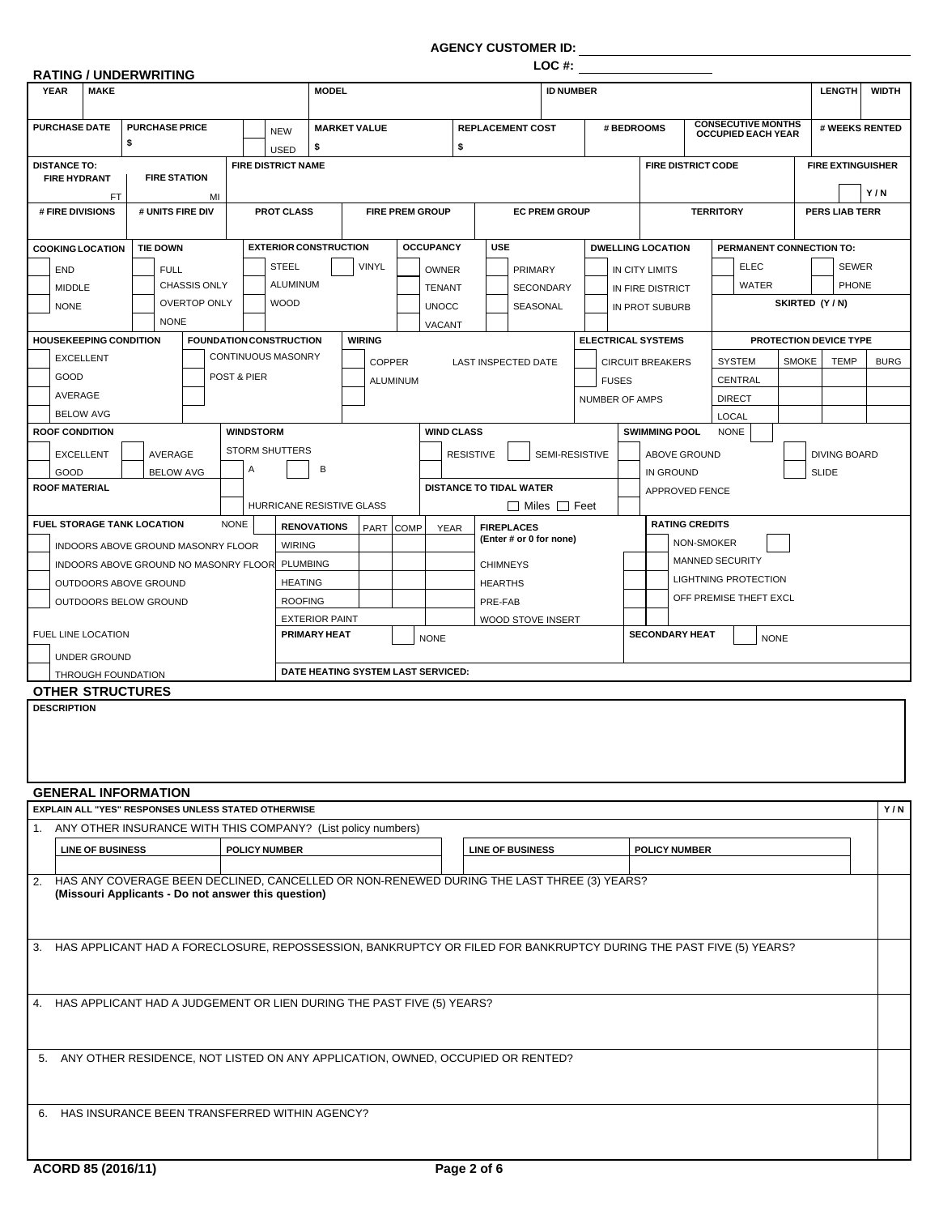**AGENCY CUSTOMER ID:**

|                                                                                                                                                                                                                                                                                                                                                                                                                                                          | <b>RATING / UNDERWRITING</b> |                     |             |                  |                                                             |                                              |                                    |                        |                   |                  | LOC #:                                       |                  |                                                       |                           |                                                        |                          |              |                          |                |
|----------------------------------------------------------------------------------------------------------------------------------------------------------------------------------------------------------------------------------------------------------------------------------------------------------------------------------------------------------------------------------------------------------------------------------------------------------|------------------------------|---------------------|-------------|------------------|-------------------------------------------------------------|----------------------------------------------|------------------------------------|------------------------|-------------------|------------------|----------------------------------------------|------------------|-------------------------------------------------------|---------------------------|--------------------------------------------------------|--------------------------|--------------|--------------------------|----------------|
| <b>YEAR</b><br><b>MAKE</b>                                                                                                                                                                                                                                                                                                                                                                                                                               |                              |                     |             |                  |                                                             | <b>MODEL</b>                                 |                                    |                        |                   |                  |                                              | <b>ID NUMBER</b> |                                                       |                           |                                                        |                          |              | <b>LENGTH</b>            | <b>WIDTH</b>   |
|                                                                                                                                                                                                                                                                                                                                                                                                                                                          |                              |                     |             |                  |                                                             |                                              |                                    |                        |                   |                  |                                              |                  |                                                       |                           |                                                        |                          |              |                          |                |
| <b>PURCHASE DATE</b>                                                                                                                                                                                                                                                                                                                                                                                                                                     | <b>PURCHASE PRICE</b><br>\$  |                     |             |                  | <b>NEW</b><br><b>USED</b>                                   | \$                                           | <b>MARKET VALUE</b>                |                        |                   | \$               | <b>REPLACEMENT COST</b>                      |                  |                                                       | # BEDROOMS                | <b>CONSECUTIVE MONTHS</b><br><b>OCCUPIED EACH YEAR</b> |                          |              |                          | # WEEKS RENTED |
| <b>DISTANCE TO:</b>                                                                                                                                                                                                                                                                                                                                                                                                                                      |                              |                     |             |                  | <b>FIRE DISTRICT NAME</b>                                   |                                              |                                    |                        |                   |                  |                                              |                  |                                                       | <b>FIRE DISTRICT CODE</b> |                                                        |                          |              | <b>FIRE EXTINGUISHER</b> |                |
| <b>FIRE HYDRANT</b>                                                                                                                                                                                                                                                                                                                                                                                                                                      |                              | <b>FIRE STATION</b> |             |                  |                                                             |                                              |                                    |                        |                   |                  |                                              |                  |                                                       |                           |                                                        |                          |              |                          | Y/N            |
| FT<br># FIRE DIVISIONS                                                                                                                                                                                                                                                                                                                                                                                                                                   |                              | # UNITS FIRE DIV    | MI          |                  | <b>PROT CLASS</b>                                           |                                              |                                    | <b>FIRE PREM GROUP</b> |                   |                  | <b>EC PREM GROUP</b>                         |                  |                                                       |                           |                                                        | <b>TERRITORY</b>         |              | <b>PERS LIAB TERR</b>    |                |
|                                                                                                                                                                                                                                                                                                                                                                                                                                                          |                              |                     |             |                  |                                                             |                                              |                                    |                        |                   |                  |                                              |                  |                                                       |                           |                                                        |                          |              |                          |                |
| <b>COOKING LOCATION</b>                                                                                                                                                                                                                                                                                                                                                                                                                                  | <b>TIE DOWN</b>              |                     |             |                  | <b>EXTERIOR CONSTRUCTION</b>                                |                                              |                                    |                        | <b>OCCUPANCY</b>  | <b>USE</b>       |                                              |                  |                                                       | <b>DWELLING LOCATION</b>  |                                                        | PERMANENT CONNECTION TO: |              |                          |                |
| <b>END</b>                                                                                                                                                                                                                                                                                                                                                                                                                                               |                              | <b>FULL</b>         |             |                  | <b>STEEL</b>                                                |                                              | <b>VINYL</b>                       |                        | <b>OWNER</b>      |                  | PRIMARY                                      |                  |                                                       | <b>IN CITY LIMITS</b>     |                                                        | <b>ELEC</b>              |              | <b>SEWER</b>             |                |
| <b>MIDDLE</b>                                                                                                                                                                                                                                                                                                                                                                                                                                            |                              | <b>CHASSIS ONLY</b> |             |                  | ALUMINUM                                                    |                                              |                                    |                        | <b>TENANT</b>     |                  | <b>SECONDARY</b>                             |                  |                                                       | IN FIRE DISTRICT          |                                                        | <b>WATER</b>             |              | PHONE                    |                |
| <b>NONE</b>                                                                                                                                                                                                                                                                                                                                                                                                                                              |                              | <b>OVERTOP ONLY</b> |             |                  | <b>WOOD</b>                                                 |                                              |                                    |                        | <b>UNOCC</b>      |                  | SEASONAL                                     |                  |                                                       | IN PROT SUBURB            |                                                        |                          |              | SKIRTED (Y/N)            |                |
|                                                                                                                                                                                                                                                                                                                                                                                                                                                          |                              | <b>NONE</b>         |             |                  |                                                             |                                              |                                    |                        | VACANT            |                  |                                              |                  |                                                       |                           |                                                        |                          |              |                          |                |
| <b>HOUSEKEEPING CONDITION</b><br><b>EXCELLENT</b>                                                                                                                                                                                                                                                                                                                                                                                                        |                              |                     |             |                  | <b>FOUNDATION CONSTRUCTION</b><br><b>CONTINUOUS MASONRY</b> |                                              | <b>WIRING</b>                      |                        |                   |                  |                                              |                  |                                                       | <b>ELECTRICAL SYSTEMS</b> |                                                        |                          |              | PROTECTION DEVICE TYPE   |                |
| GOOD                                                                                                                                                                                                                                                                                                                                                                                                                                                     |                              |                     | POST & PIER |                  |                                                             |                                              |                                    | <b>COPPER</b>          |                   |                  | LAST INSPECTED DATE                          |                  |                                                       | <b>CIRCUIT BREAKERS</b>   |                                                        | <b>SYSTEM</b>            | <b>SMOKE</b> | <b>TEMP</b>              | <b>BURG</b>    |
| AVERAGE                                                                                                                                                                                                                                                                                                                                                                                                                                                  |                              |                     |             |                  |                                                             |                                              |                                    | ALUMINUM               |                   |                  |                                              |                  | <b>FUSES</b>                                          |                           |                                                        | <b>CENTRAL</b>           |              |                          |                |
| <b>BELOW AVG</b>                                                                                                                                                                                                                                                                                                                                                                                                                                         |                              |                     |             |                  |                                                             |                                              |                                    |                        |                   |                  |                                              |                  | <b>NUMBER OF AMPS</b>                                 |                           |                                                        | <b>DIRECT</b><br>LOCAL   |              |                          |                |
| <b>ROOF CONDITION</b>                                                                                                                                                                                                                                                                                                                                                                                                                                    |                              |                     |             | <b>WINDSTORM</b> |                                                             |                                              |                                    |                        | <b>WIND CLASS</b> |                  |                                              |                  |                                                       | <b>SWIMMING POOL</b>      |                                                        | <b>NONE</b>              |              |                          |                |
| <b>EXCELLENT</b>                                                                                                                                                                                                                                                                                                                                                                                                                                         |                              | <b>AVERAGE</b>      |             |                  | <b>STORM SHUTTERS</b>                                       |                                              |                                    |                        |                   | <b>RESISTIVE</b> | SEMI-RESISTIVE                               |                  |                                                       | <b>ABOVE GROUND</b>       |                                                        |                          |              | <b>DIVING BOARD</b>      |                |
| GOOD                                                                                                                                                                                                                                                                                                                                                                                                                                                     |                              | <b>BELOW AVG</b>    |             | Α                |                                                             | B                                            |                                    |                        |                   |                  |                                              |                  |                                                       | <b>IN GROUND</b>          |                                                        |                          |              | <b>SLIDE</b>             |                |
| <b>ROOF MATERIAL</b>                                                                                                                                                                                                                                                                                                                                                                                                                                     |                              |                     |             |                  |                                                             |                                              |                                    |                        |                   |                  | <b>DISTANCE TO TIDAL WATER</b>               |                  |                                                       | <b>APPROVED FENCE</b>     |                                                        |                          |              |                          |                |
|                                                                                                                                                                                                                                                                                                                                                                                                                                                          |                              |                     |             |                  |                                                             |                                              | HURRICANE RESISTIVE GLASS          |                        |                   |                  | □ Miles □ Feet                               |                  |                                                       |                           |                                                        |                          |              |                          |                |
| <b>FUEL STORAGE TANK LOCATION</b>                                                                                                                                                                                                                                                                                                                                                                                                                        |                              |                     | <b>NONE</b> |                  |                                                             | <b>RENOVATIONS</b>                           |                                    | PART COMP              | YEAR              |                  | <b>FIREPLACES</b><br>(Enter # or 0 for none) |                  |                                                       | <b>RATING CREDITS</b>     |                                                        |                          |              |                          |                |
| INDOORS ABOVE GROUND MASONRY FLOOR                                                                                                                                                                                                                                                                                                                                                                                                                       |                              |                     |             |                  | <b>WIRING</b>                                               |                                              |                                    |                        |                   |                  |                                              |                  |                                                       |                           | NON-SMOKER                                             |                          |              |                          |                |
| INDOORS ABOVE GROUND NO MASONRY FLOOR                                                                                                                                                                                                                                                                                                                                                                                                                    |                              |                     |             |                  |                                                             | <b>PLUMBING</b>                              |                                    |                        |                   | <b>CHIMNEYS</b>  |                                              |                  | <b>MANNED SECURITY</b>                                |                           |                                                        |                          |              |                          |                |
|                                                                                                                                                                                                                                                                                                                                                                                                                                                          | OUTDOORS ABOVE GROUND        |                     |             |                  | <b>HEATING</b>                                              |                                              |                                    |                        | <b>HEARTHS</b>    |                  |                                              |                  | <b>LIGHTNING PROTECTION</b><br>OFF PREMISE THEFT EXCL |                           |                                                        |                          |              |                          |                |
| OUTDOORS BELOW GROUND                                                                                                                                                                                                                                                                                                                                                                                                                                    |                              |                     |             |                  | <b>ROOFING</b>                                              |                                              |                                    |                        |                   | PRE-FAB          |                                              |                  |                                                       |                           |                                                        |                          |              |                          |                |
| FUEL LINE LOCATION                                                                                                                                                                                                                                                                                                                                                                                                                                       |                              |                     |             |                  |                                                             | <b>EXTERIOR PAINT</b><br><b>PRIMARY HEAT</b> |                                    |                        | <b>NONE</b>       |                  | <b>WOOD STOVE INSERT</b>                     |                  |                                                       | <b>SECONDARY HEAT</b>     |                                                        | <b>NONE</b>              |              |                          |                |
| UNDER GROUND                                                                                                                                                                                                                                                                                                                                                                                                                                             |                              |                     |             |                  |                                                             |                                              |                                    |                        |                   |                  |                                              |                  |                                                       |                           |                                                        |                          |              |                          |                |
| THROUGH FOUNDATION                                                                                                                                                                                                                                                                                                                                                                                                                                       |                              |                     |             |                  |                                                             |                                              | DATE HEATING SYSTEM LAST SERVICED: |                        |                   |                  |                                              |                  |                                                       |                           |                                                        |                          |              |                          |                |
| <b>OTHER STRUCTURES</b>                                                                                                                                                                                                                                                                                                                                                                                                                                  |                              |                     |             |                  |                                                             |                                              |                                    |                        |                   |                  |                                              |                  |                                                       |                           |                                                        |                          |              |                          |                |
| <b>DESCRIPTION</b>                                                                                                                                                                                                                                                                                                                                                                                                                                       |                              |                     |             |                  |                                                             |                                              |                                    |                        |                   |                  |                                              |                  |                                                       |                           |                                                        |                          |              |                          |                |
|                                                                                                                                                                                                                                                                                                                                                                                                                                                          |                              |                     |             |                  |                                                             |                                              |                                    |                        |                   |                  |                                              |                  |                                                       |                           |                                                        |                          |              |                          |                |
|                                                                                                                                                                                                                                                                                                                                                                                                                                                          |                              |                     |             |                  |                                                             |                                              |                                    |                        |                   |                  |                                              |                  |                                                       |                           |                                                        |                          |              |                          |                |
|                                                                                                                                                                                                                                                                                                                                                                                                                                                          |                              |                     |             |                  |                                                             |                                              |                                    |                        |                   |                  |                                              |                  |                                                       |                           |                                                        |                          |              |                          |                |
|                                                                                                                                                                                                                                                                                                                                                                                                                                                          |                              |                     |             |                  |                                                             |                                              |                                    |                        |                   |                  |                                              |                  |                                                       |                           |                                                        |                          |              |                          | Y/N            |
|                                                                                                                                                                                                                                                                                                                                                                                                                                                          |                              |                     |             |                  |                                                             |                                              |                                    |                        |                   |                  |                                              |                  |                                                       |                           |                                                        |                          |              |                          |                |
|                                                                                                                                                                                                                                                                                                                                                                                                                                                          |                              |                     |             |                  |                                                             |                                              |                                    |                        |                   |                  |                                              |                  |                                                       |                           |                                                        |                          |              |                          |                |
| <b>LINE OF BUSINESS</b>                                                                                                                                                                                                                                                                                                                                                                                                                                  |                              |                     |             |                  | <b>POLICY NUMBER</b>                                        |                                              |                                    |                        |                   |                  | <b>LINE OF BUSINESS</b>                      |                  |                                                       | <b>POLICY NUMBER</b>      |                                                        |                          |              |                          |                |
|                                                                                                                                                                                                                                                                                                                                                                                                                                                          |                              |                     |             |                  |                                                             |                                              |                                    |                        |                   |                  |                                              |                  |                                                       |                           |                                                        |                          |              |                          |                |
|                                                                                                                                                                                                                                                                                                                                                                                                                                                          |                              |                     |             |                  |                                                             |                                              |                                    |                        |                   |                  |                                              |                  |                                                       |                           |                                                        |                          |              |                          |                |
| (Missouri Applicants - Do not answer this question)                                                                                                                                                                                                                                                                                                                                                                                                      |                              |                     |             |                  |                                                             |                                              |                                    |                        |                   |                  |                                              |                  |                                                       |                           |                                                        |                          |              |                          |                |
|                                                                                                                                                                                                                                                                                                                                                                                                                                                          |                              |                     |             |                  |                                                             |                                              |                                    |                        |                   |                  |                                              |                  |                                                       |                           |                                                        |                          |              |                          |                |
|                                                                                                                                                                                                                                                                                                                                                                                                                                                          |                              |                     |             |                  |                                                             |                                              |                                    |                        |                   |                  |                                              |                  |                                                       |                           |                                                        |                          |              |                          |                |
|                                                                                                                                                                                                                                                                                                                                                                                                                                                          |                              |                     |             |                  |                                                             |                                              |                                    |                        |                   |                  |                                              |                  |                                                       |                           |                                                        |                          |              |                          |                |
|                                                                                                                                                                                                                                                                                                                                                                                                                                                          |                              |                     |             |                  |                                                             |                                              |                                    |                        |                   |                  |                                              |                  |                                                       |                           |                                                        |                          |              |                          |                |
|                                                                                                                                                                                                                                                                                                                                                                                                                                                          |                              |                     |             |                  |                                                             |                                              |                                    |                        |                   |                  |                                              |                  |                                                       |                           |                                                        |                          |              |                          |                |
|                                                                                                                                                                                                                                                                                                                                                                                                                                                          |                              |                     |             |                  |                                                             |                                              |                                    |                        |                   |                  |                                              |                  |                                                       |                           |                                                        |                          |              |                          |                |
| <b>GENERAL INFORMATION</b><br>EXPLAIN ALL "YES" RESPONSES UNLESS STATED OTHERWISE<br>1. ANY OTHER INSURANCE WITH THIS COMPANY? (List policy numbers)<br>2. HAS ANY COVERAGE BEEN DECLINED, CANCELLED OR NON-RENEWED DURING THE LAST THREE (3) YEARS?<br>3. HAS APPLICANT HAD A FORECLOSURE, REPOSSESSION, BANKRUPTCY OR FILED FOR BANKRUPTCY DURING THE PAST FIVE (5) YEARS?<br>4. HAS APPLICANT HAD A JUDGEMENT OR LIEN DURING THE PAST FIVE (5) YEARS? |                              |                     |             |                  |                                                             |                                              |                                    |                        |                   |                  |                                              |                  |                                                       |                           |                                                        |                          |              |                          |                |
|                                                                                                                                                                                                                                                                                                                                                                                                                                                          |                              |                     |             |                  |                                                             |                                              |                                    |                        |                   |                  |                                              |                  |                                                       |                           |                                                        |                          |              |                          |                |
|                                                                                                                                                                                                                                                                                                                                                                                                                                                          |                              |                     |             |                  |                                                             |                                              |                                    |                        |                   |                  |                                              |                  |                                                       |                           |                                                        |                          |              |                          |                |
| 5. ANY OTHER RESIDENCE, NOT LISTED ON ANY APPLICATION, OWNED, OCCUPIED OR RENTED?<br>6. HAS INSURANCE BEEN TRANSFERRED WITHIN AGENCY?                                                                                                                                                                                                                                                                                                                    |                              |                     |             |                  |                                                             |                                              |                                    |                        |                   |                  |                                              |                  |                                                       |                           |                                                        |                          |              |                          |                |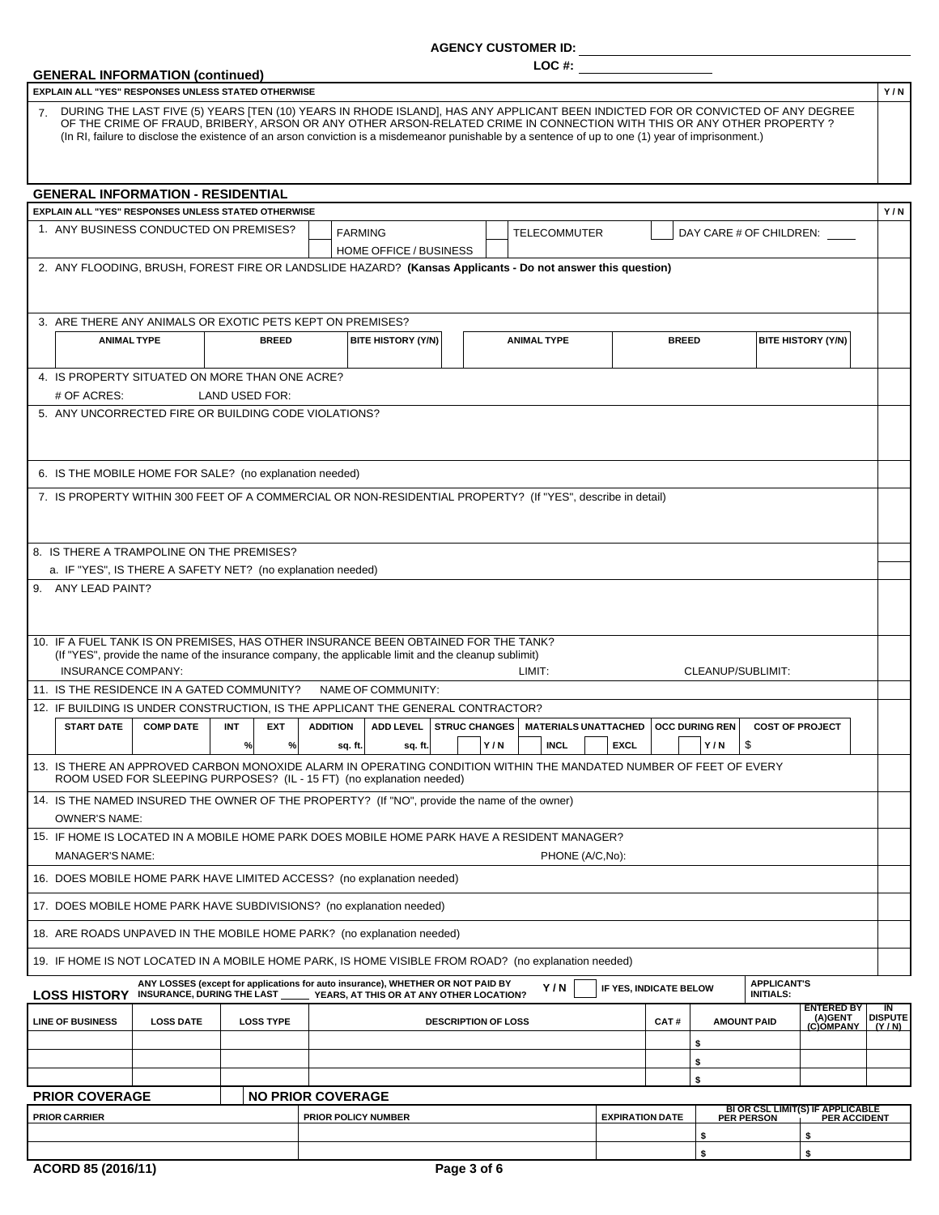#### **AGENCY CUSTOMER ID:**

**LOC #:**

| <b>GENERAL INFORMATION (continued)</b><br>EXPLAIN ALL "YES" RESPONSES UNLESS STATED OTHERWISE                                                                                                                                                              | Y/N                                                                         |
|------------------------------------------------------------------------------------------------------------------------------------------------------------------------------------------------------------------------------------------------------------|-----------------------------------------------------------------------------|
|                                                                                                                                                                                                                                                            |                                                                             |
| 7 DURING THE LAST FIVE (5) YEARS [TEN (10) YEARS IN RHODE ISLAND], HAS ANY APPLICANT BEEN INDICTED FOR OR CONVICTED OF ANY DEGREE<br>OF THE CRIME OF FRAUD, BRIBERY, ARSON OR ANY OTHER ARSON-RELATED CRIME IN CONNECTION WITH THIS OR ANY OTHER PROPERTY? |                                                                             |
| (In RI, failure to disclose the existence of an arson conviction is a misdemeanor punishable by a sentence of up to one (1) year of imprisonment.)                                                                                                         |                                                                             |
|                                                                                                                                                                                                                                                            |                                                                             |
| <b>GENERAL INFORMATION - RESIDENTIAL</b><br>EXPLAIN ALL "YES" RESPONSES UNLESS STATED OTHERWISE                                                                                                                                                            | Y/N                                                                         |
| 1. ANY BUSINESS CONDUCTED ON PREMISES?<br><b>FARMING</b><br><b>TELECOMMUTER</b><br>DAY CARE # OF CHILDREN: ____                                                                                                                                            |                                                                             |
| HOME OFFICE / BUSINESS                                                                                                                                                                                                                                     |                                                                             |
| 2. ANY FLOODING, BRUSH, FOREST FIRE OR LANDSLIDE HAZARD? (Kansas Applicants - Do not answer this question)                                                                                                                                                 |                                                                             |
|                                                                                                                                                                                                                                                            |                                                                             |
| 3. ARE THERE ANY ANIMALS OR EXOTIC PETS KEPT ON PREMISES?                                                                                                                                                                                                  |                                                                             |
| <b>BREED</b><br><b>BITE HISTORY (Y/N)</b><br><b>ANIMAL TYPE</b><br><b>BREED</b><br><b>BITE HISTORY (Y/N)</b><br><b>ANIMAL TYPE</b>                                                                                                                         |                                                                             |
|                                                                                                                                                                                                                                                            |                                                                             |
| 4. IS PROPERTY SITUATED ON MORE THAN ONE ACRE?<br># OF ACRES:<br>LAND USED FOR:                                                                                                                                                                            |                                                                             |
| 5. ANY UNCORRECTED FIRE OR BUILDING CODE VIOLATIONS?                                                                                                                                                                                                       |                                                                             |
|                                                                                                                                                                                                                                                            |                                                                             |
|                                                                                                                                                                                                                                                            |                                                                             |
| 6. IS THE MOBILE HOME FOR SALE? (no explanation needed)                                                                                                                                                                                                    |                                                                             |
| 7. IS PROPERTY WITHIN 300 FEET OF A COMMERCIAL OR NON-RESIDENTIAL PROPERTY? (If "YES", describe in detail)                                                                                                                                                 |                                                                             |
|                                                                                                                                                                                                                                                            |                                                                             |
| 8. IS THERE A TRAMPOLINE ON THE PREMISES?                                                                                                                                                                                                                  |                                                                             |
| a. IF "YES", IS THERE A SAFETY NET? (no explanation needed)                                                                                                                                                                                                |                                                                             |
| 9. ANY LEAD PAINT?                                                                                                                                                                                                                                         |                                                                             |
|                                                                                                                                                                                                                                                            |                                                                             |
| 10. IF A FUEL TANK IS ON PREMISES, HAS OTHER INSURANCE BEEN OBTAINED FOR THE TANK?                                                                                                                                                                         |                                                                             |
| (If "YES", provide the name of the insurance company, the applicable limit and the cleanup sublimit)                                                                                                                                                       |                                                                             |
| INSURANCE COMPANY:<br>LIMIT:<br>CLEANUP/SUBLIMIT:                                                                                                                                                                                                          |                                                                             |
| 11. IS THE RESIDENCE IN A GATED COMMUNITY?<br>NAME OF COMMUNITY:<br>12. IF BUILDING IS UNDER CONSTRUCTION, IS THE APPLICANT THE GENERAL CONTRACTOR?                                                                                                        |                                                                             |
| <b>STRUC CHANGES</b><br><b>OCC DURING REN</b><br><b>START DATE</b><br><b>COMP DATE</b><br><b>EXT</b><br><b>ADDITION</b><br><b>ADD LEVEL</b><br><b>MATERIALS UNATTACHED</b><br><b>COST OF PROJECT</b><br>INT                                                |                                                                             |
| Y/N<br><b>INCL</b><br><b>EXCL</b><br>Y/N<br>\$<br>$\%$<br>%<br>sq. ft.<br>sq. ft.                                                                                                                                                                          |                                                                             |
| 13. IS THERE AN APPROVED CARBON MONOXIDE ALARM IN OPERATING CONDITION WITHIN THE MANDATED NUMBER OF FEET OF EVERY<br>ROOM USED FOR SLEEPING PURPOSES? (IL - 15 FT) (no explanation needed)                                                                 |                                                                             |
| 14. IS THE NAMED INSURED THE OWNER OF THE PROPERTY? (If "NO", provide the name of the owner)                                                                                                                                                               |                                                                             |
| <b>OWNER'S NAME:</b>                                                                                                                                                                                                                                       |                                                                             |
| 15. IF HOME IS LOCATED IN A MOBILE HOME PARK DOES MOBILE HOME PARK HAVE A RESIDENT MANAGER?<br><b>MANAGER'S NAME:</b><br>PHONE (A/C,No):                                                                                                                   |                                                                             |
| 16. DOES MOBILE HOME PARK HAVE LIMITED ACCESS? (no explanation needed)                                                                                                                                                                                     |                                                                             |
| 17. DOES MOBILE HOME PARK HAVE SUBDIVISIONS? (no explanation needed)                                                                                                                                                                                       |                                                                             |
| 18. ARE ROADS UNPAVED IN THE MOBILE HOME PARK? (no explanation needed)                                                                                                                                                                                     |                                                                             |
|                                                                                                                                                                                                                                                            |                                                                             |
| 19. IF HOME IS NOT LOCATED IN A MOBILE HOME PARK, IS HOME VISIBLE FROM ROAD? (no explanation needed)<br>ANY LOSSES (except for applications for auto insurance), WHETHER OR NOT PAID BY<br><b>APPLICANT'S</b>                                              |                                                                             |
| Y/N<br>IF YES, INDICATE BELOW<br>LOSS HISTORY INSURANCE, DURING THE LAST _____ YEARS, AT THIS OR AT ANY OTHER LOCATION?<br><b>INITIALS:</b>                                                                                                                | IN                                                                          |
| <b>LINE OF BUSINESS</b><br><b>LOSS DATE</b><br><b>LOSS TYPE</b><br><b>DESCRIPTION OF LOSS</b><br>CAT#<br><b>AMOUNT PAID</b>                                                                                                                                | <b>ENTERED BY</b><br>(A)GENT<br><b>DISPUTE</b><br><u>(C)OMPANY</u><br>(Y/N) |
| \$                                                                                                                                                                                                                                                         |                                                                             |
|                                                                                                                                                                                                                                                            |                                                                             |
| \$                                                                                                                                                                                                                                                         |                                                                             |
| \$                                                                                                                                                                                                                                                         |                                                                             |
| <b>NO PRIOR COVERAGE</b>                                                                                                                                                                                                                                   |                                                                             |
| <b>PRIOR COVERAGE</b><br>BI OR CSL LIMIT(S) IF APPLICABLE<br>PER PERSON PER ACCIDENT<br><b>EXPIRATION DATE</b><br><b>PRIOR CARRIER</b><br>PRIOR POLICY NUMBER<br>\$<br>\$                                                                                  |                                                                             |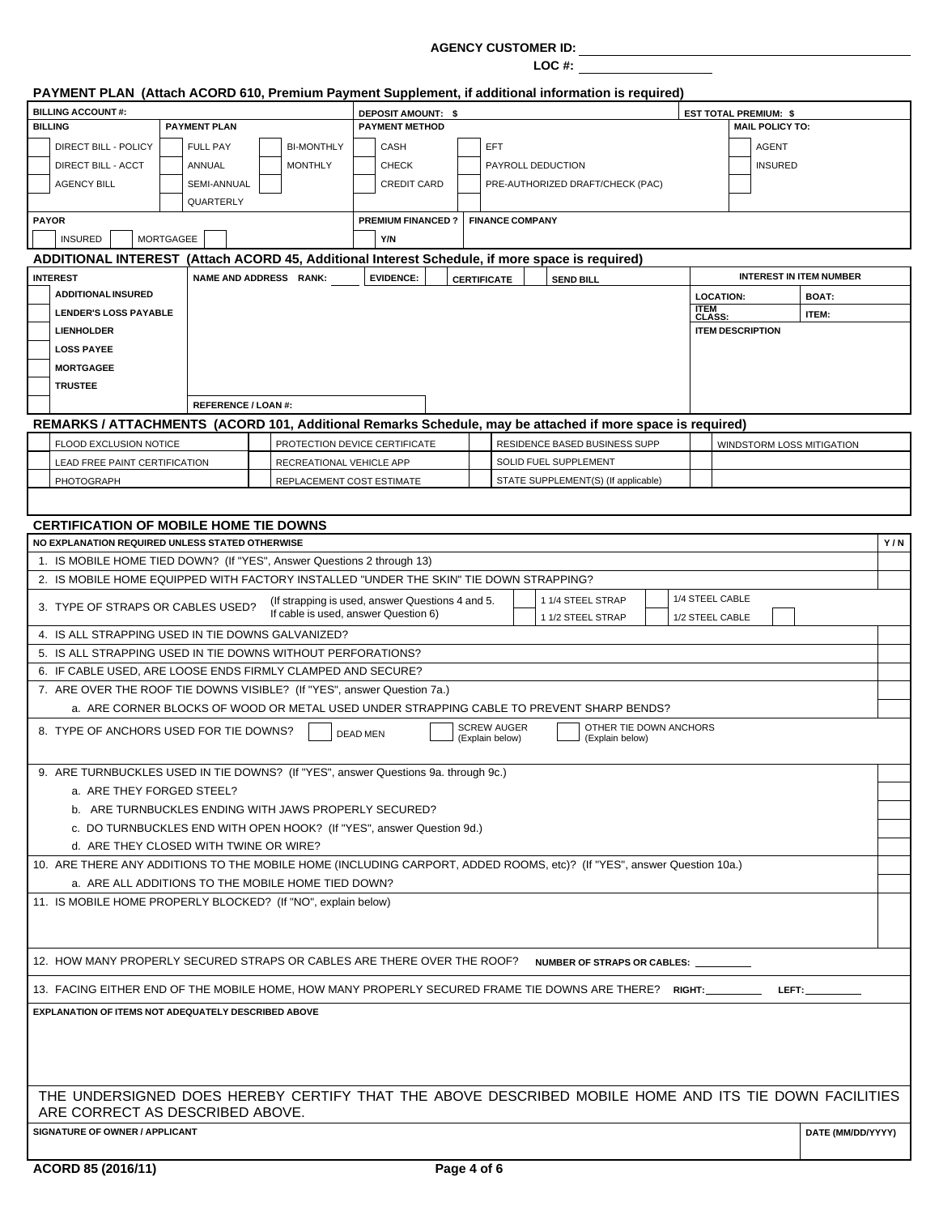#### **AGENCY CUSTOMER ID:**

**LOC #:**

|              | PAYMENT PLAN (Attach ACORD 610, Premium Payment Supplement, if additional information is required)                                      |  |                            |  |                                                                                          |                 |                          |  |                        |                                                                                          |                                    |                       |                              |                                |     |
|--------------|-----------------------------------------------------------------------------------------------------------------------------------------|--|----------------------------|--|------------------------------------------------------------------------------------------|-----------------|--------------------------|--|------------------------|------------------------------------------------------------------------------------------|------------------------------------|-----------------------|------------------------------|--------------------------------|-----|
|              | <b>BILLING ACCOUNT#:</b>                                                                                                                |  |                            |  |                                                                                          |                 | DEPOSIT AMOUNT: \$       |  |                        |                                                                                          |                                    |                       | <b>EST TOTAL PREMIUM: \$</b> |                                |     |
|              | <b>BILLING</b>                                                                                                                          |  | <b>PAYMENT PLAN</b>        |  |                                                                                          |                 | <b>PAYMENT METHOD</b>    |  |                        |                                                                                          |                                    |                       | <b>MAIL POLICY TO:</b>       |                                |     |
|              | <b>FULL PAY</b><br><b>BI-MONTHLY</b><br>DIRECT BILL - POLICY                                                                            |  |                            |  |                                                                                          |                 | CASH                     |  | EFT                    |                                                                                          |                                    |                       | <b>AGENT</b>                 |                                |     |
|              | DIRECT BILL - ACCT<br>ANNUAL<br><b>MONTHLY</b>                                                                                          |  |                            |  |                                                                                          |                 | <b>CHECK</b>             |  |                        | PAYROLL DEDUCTION                                                                        |                                    |                       | <b>INSURED</b>               |                                |     |
|              | <b>AGENCY BILL</b>                                                                                                                      |  | SEMI-ANNUAL                |  |                                                                                          |                 | <b>CREDIT CARD</b>       |  |                        | PRE-AUTHORIZED DRAFT/CHECK (PAC)                                                         |                                    |                       |                              |                                |     |
|              |                                                                                                                                         |  | QUARTERLY                  |  |                                                                                          |                 |                          |  |                        |                                                                                          |                                    |                       |                              |                                |     |
| <b>PAYOR</b> |                                                                                                                                         |  |                            |  |                                                                                          |                 | <b>PREMIUM FINANCED?</b> |  | <b>FINANCE COMPANY</b> |                                                                                          |                                    |                       |                              |                                |     |
|              | <b>INSURED</b><br><b>MORTGAGEE</b>                                                                                                      |  |                            |  |                                                                                          |                 | Y/N                      |  |                        |                                                                                          |                                    |                       |                              |                                |     |
|              | ADDITIONAL INTEREST (Attach ACORD 45, Additional Interest Schedule, if more space is required)                                          |  |                            |  |                                                                                          |                 |                          |  |                        |                                                                                          |                                    |                       |                              |                                |     |
|              | <b>INTEREST</b>                                                                                                                         |  | NAME AND ADDRESS RANK:     |  |                                                                                          |                 | <b>EVIDENCE:</b>         |  | <b>CERTIFICATE</b>     | <b>SEND BILL</b>                                                                         |                                    |                       |                              | <b>INTEREST IN ITEM NUMBER</b> |     |
|              | <b>ADDITIONAL INSURED</b>                                                                                                               |  |                            |  |                                                                                          |                 |                          |  |                        |                                                                                          |                                    | <b>LOCATION:</b>      |                              | <b>BOAT:</b>                   |     |
|              | <b>LENDER'S LOSS PAYABLE</b>                                                                                                            |  |                            |  |                                                                                          |                 |                          |  |                        |                                                                                          |                                    | <b>ITEM</b><br>CLASS: |                              | ITEM:                          |     |
|              | <b>LIENHOLDER</b>                                                                                                                       |  |                            |  |                                                                                          |                 |                          |  |                        |                                                                                          |                                    |                       | <b>ITEM DESCRIPTION</b>      |                                |     |
|              | <b>LOSS PAYEE</b>                                                                                                                       |  |                            |  |                                                                                          |                 |                          |  |                        |                                                                                          |                                    |                       |                              |                                |     |
|              | <b>MORTGAGEE</b>                                                                                                                        |  |                            |  |                                                                                          |                 |                          |  |                        |                                                                                          |                                    |                       |                              |                                |     |
|              | <b>TRUSTEE</b>                                                                                                                          |  |                            |  |                                                                                          |                 |                          |  |                        |                                                                                          |                                    |                       |                              |                                |     |
|              |                                                                                                                                         |  | <b>REFERENCE / LOAN #:</b> |  |                                                                                          |                 |                          |  |                        |                                                                                          |                                    |                       |                              |                                |     |
|              | REMARKS / ATTACHMENTS (ACORD 101, Additional Remarks Schedule, may be attached if more space is required)                               |  |                            |  |                                                                                          |                 |                          |  |                        |                                                                                          |                                    |                       |                              |                                |     |
|              | FLOOD EXCLUSION NOTICE                                                                                                                  |  |                            |  | PROTECTION DEVICE CERTIFICATE                                                            |                 |                          |  |                        | RESIDENCE BASED BUSINESS SUPP                                                            |                                    |                       |                              | WINDSTORM LOSS MITIGATION      |     |
|              | LEAD FREE PAINT CERTIFICATION                                                                                                           |  |                            |  | RECREATIONAL VEHICLE APP                                                                 |                 |                          |  |                        | SOLID FUEL SUPPLEMENT                                                                    |                                    |                       |                              |                                |     |
|              | <b>PHOTOGRAPH</b>                                                                                                                       |  |                            |  | REPLACEMENT COST ESTIMATE                                                                |                 |                          |  |                        | STATE SUPPLEMENT(S) (If applicable)                                                      |                                    |                       |                              |                                |     |
|              |                                                                                                                                         |  |                            |  |                                                                                          |                 |                          |  |                        |                                                                                          |                                    |                       |                              |                                |     |
|              |                                                                                                                                         |  |                            |  |                                                                                          |                 |                          |  |                        |                                                                                          |                                    |                       |                              |                                |     |
|              | <b>CERTIFICATION OF MOBILE HOME TIE DOWNS</b>                                                                                           |  |                            |  |                                                                                          |                 |                          |  |                        |                                                                                          |                                    |                       |                              |                                |     |
|              | <b>NO EXPLANATION REQUIRED UNLESS STATED OTHERWISE</b>                                                                                  |  |                            |  |                                                                                          |                 |                          |  |                        |                                                                                          |                                    |                       |                              |                                | Y/N |
|              | 1. IS MOBILE HOME TIED DOWN? (If "YES", Answer Questions 2 through 13)                                                                  |  |                            |  |                                                                                          |                 |                          |  |                        |                                                                                          |                                    |                       |                              |                                |     |
|              | 2. IS MOBILE HOME EQUIPPED WITH FACTORY INSTALLED "UNDER THE SKIN" TIE DOWN STRAPPING?                                                  |  |                            |  |                                                                                          |                 |                          |  |                        |                                                                                          |                                    |                       |                              |                                |     |
|              | 3. TYPE OF STRAPS OR CABLES USED?                                                                                                       |  |                            |  | (If strapping is used, answer Questions 4 and 5.<br>If cable is used, answer Question 6) |                 |                          |  |                        | 1 1/4 STEEL STRAP<br>1 1/2 STEEL STRAP                                                   | 1/4 STEEL CABLE<br>1/2 STEEL CABLE |                       |                              |                                |     |
|              | 4. IS ALL STRAPPING USED IN TIE DOWNS GALVANIZED?                                                                                       |  |                            |  |                                                                                          |                 |                          |  |                        |                                                                                          |                                    |                       |                              |                                |     |
|              | 5. IS ALL STRAPPING USED IN TIE DOWNS WITHOUT PERFORATIONS?                                                                             |  |                            |  |                                                                                          |                 |                          |  |                        |                                                                                          |                                    |                       |                              |                                |     |
|              | 6. IF CABLE USED, ARE LOOSE ENDS FIRMLY CLAMPED AND SECURE?                                                                             |  |                            |  |                                                                                          |                 |                          |  |                        |                                                                                          |                                    |                       |                              |                                |     |
|              | 7. ARE OVER THE ROOF TIE DOWNS VISIBLE? (If "YES", answer Question 7a.)                                                                 |  |                            |  |                                                                                          |                 |                          |  |                        |                                                                                          |                                    |                       |                              |                                |     |
|              |                                                                                                                                         |  |                            |  |                                                                                          |                 |                          |  |                        | a. ARE CORNER BLOCKS OF WOOD OR METAL USED UNDER STRAPPING CABLE TO PREVENT SHARP BENDS? |                                    |                       |                              |                                |     |
|              | 8. TYPE OF ANCHORS USED FOR TIE DOWNS?                                                                                                  |  |                            |  |                                                                                          | <b>DEAD MEN</b> |                          |  | <b>SCREW AUGER</b>     | OTHER TIE DOWN ANCHORS                                                                   |                                    |                       |                              |                                |     |
|              |                                                                                                                                         |  |                            |  |                                                                                          |                 |                          |  | (Explain below)        | (Explain below)                                                                          |                                    |                       |                              |                                |     |
|              |                                                                                                                                         |  |                            |  |                                                                                          |                 |                          |  |                        |                                                                                          |                                    |                       |                              |                                |     |
|              | 9. ARE TURNBUCKLES USED IN TIE DOWNS? (If "YES", answer Questions 9a. through 9c.)<br>a. ARE THEY FORGED STEEL?                         |  |                            |  |                                                                                          |                 |                          |  |                        |                                                                                          |                                    |                       |                              |                                |     |
|              | b. ARE TURNBUCKLES ENDING WITH JAWS PROPERLY SECURED?                                                                                   |  |                            |  |                                                                                          |                 |                          |  |                        |                                                                                          |                                    |                       |                              |                                |     |
|              |                                                                                                                                         |  |                            |  |                                                                                          |                 |                          |  |                        |                                                                                          |                                    |                       |                              |                                |     |
|              | c. DO TURNBUCKLES END WITH OPEN HOOK? (If "YES", answer Question 9d.)<br>d. ARE THEY CLOSED WITH TWINE OR WIRE?                         |  |                            |  |                                                                                          |                 |                          |  |                        |                                                                                          |                                    |                       |                              |                                |     |
|              |                                                                                                                                         |  |                            |  |                                                                                          |                 |                          |  |                        |                                                                                          |                                    |                       |                              |                                |     |
|              | 10. ARE THERE ANY ADDITIONS TO THE MOBILE HOME (INCLUDING CARPORT, ADDED ROOMS, etc)? (If "YES", answer Question 10a.)                  |  |                            |  |                                                                                          |                 |                          |  |                        |                                                                                          |                                    |                       |                              |                                |     |
|              | a. ARE ALL ADDITIONS TO THE MOBILE HOME TIED DOWN?                                                                                      |  |                            |  |                                                                                          |                 |                          |  |                        |                                                                                          |                                    |                       |                              |                                |     |
|              | 11. IS MOBILE HOME PROPERLY BLOCKED? (If "NO", explain below)                                                                           |  |                            |  |                                                                                          |                 |                          |  |                        |                                                                                          |                                    |                       |                              |                                |     |
|              |                                                                                                                                         |  |                            |  |                                                                                          |                 |                          |  |                        |                                                                                          |                                    |                       |                              |                                |     |
|              |                                                                                                                                         |  |                            |  |                                                                                          |                 |                          |  |                        |                                                                                          |                                    |                       |                              |                                |     |
|              | 12. HOW MANY PROPERLY SECURED STRAPS OR CABLES ARE THERE OVER THE ROOF?                                                                 |  |                            |  |                                                                                          |                 |                          |  |                        | NUMBER OF STRAPS OR CABLES: ___                                                          |                                    |                       |                              |                                |     |
|              | 13. FACING EITHER END OF THE MOBILE HOME, HOW MANY PROPERLY SECURED FRAME TIE DOWNS ARE THERE? RIGHT:__________ LEFT:__                 |  |                            |  |                                                                                          |                 |                          |  |                        |                                                                                          |                                    |                       |                              |                                |     |
|              |                                                                                                                                         |  |                            |  |                                                                                          |                 |                          |  |                        |                                                                                          |                                    |                       |                              |                                |     |
|              | EXPLANATION OF ITEMS NOT ADEQUATELY DESCRIBED ABOVE                                                                                     |  |                            |  |                                                                                          |                 |                          |  |                        |                                                                                          |                                    |                       |                              |                                |     |
|              |                                                                                                                                         |  |                            |  |                                                                                          |                 |                          |  |                        |                                                                                          |                                    |                       |                              |                                |     |
|              |                                                                                                                                         |  |                            |  |                                                                                          |                 |                          |  |                        |                                                                                          |                                    |                       |                              |                                |     |
|              |                                                                                                                                         |  |                            |  |                                                                                          |                 |                          |  |                        |                                                                                          |                                    |                       |                              |                                |     |
|              | THE UNDERSIGNED DOES HEREBY CERTIFY THAT THE ABOVE DESCRIBED MOBILE HOME AND ITS TIE DOWN FACILITIES<br>ARE CORRECT AS DESCRIBED ABOVE. |  |                            |  |                                                                                          |                 |                          |  |                        |                                                                                          |                                    |                       |                              |                                |     |
|              |                                                                                                                                         |  |                            |  |                                                                                          |                 |                          |  |                        |                                                                                          |                                    |                       |                              |                                |     |
|              | SIGNATURE OF OWNER / APPLICANT                                                                                                          |  |                            |  |                                                                                          |                 |                          |  |                        |                                                                                          |                                    |                       |                              | DATE (MM/DD/YYYY)              |     |
|              |                                                                                                                                         |  |                            |  |                                                                                          |                 |                          |  |                        |                                                                                          |                                    |                       |                              |                                |     |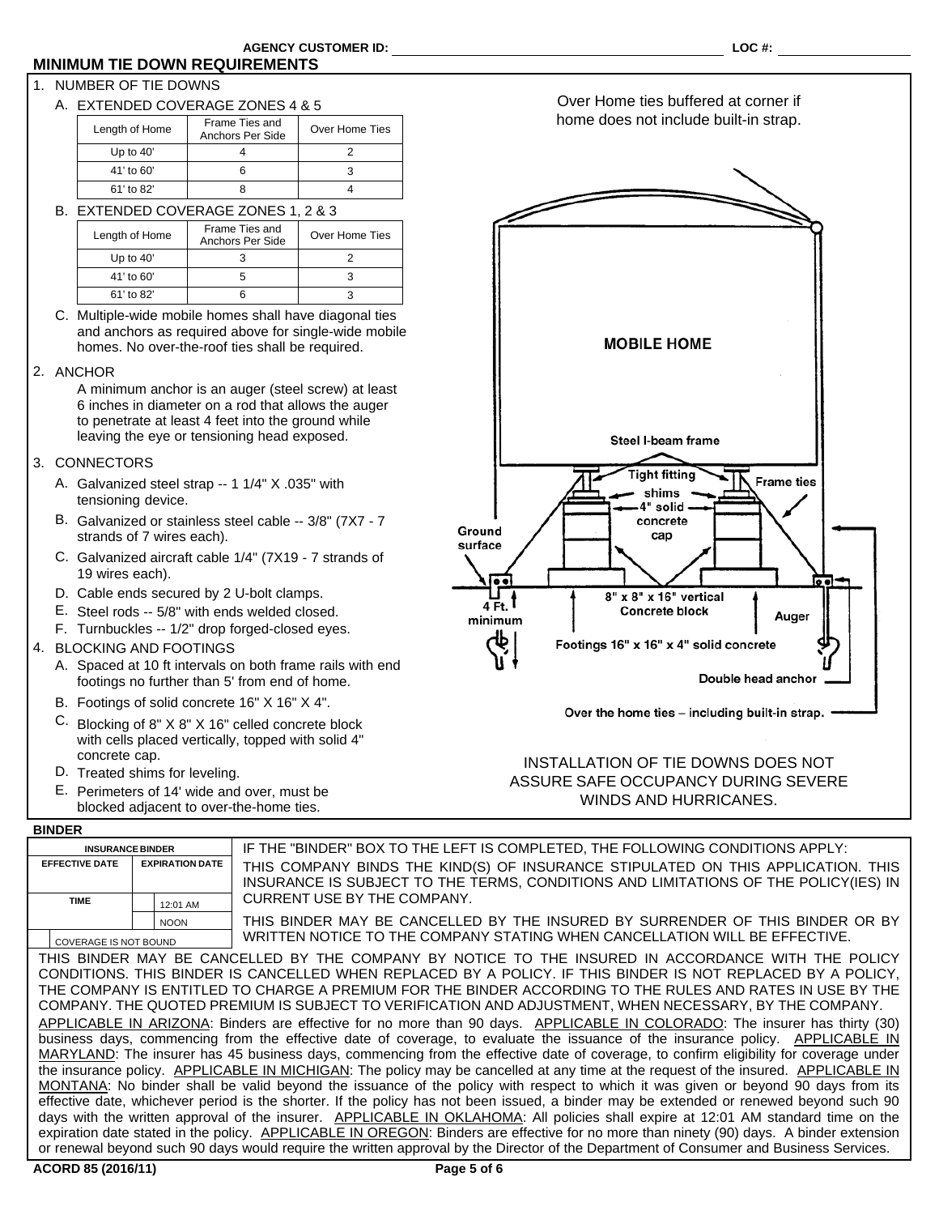## **MINIMUM TIE DOWN REQUIREMENTS**

## 1. NUMBER OF TIE DOWNS

A. EXTENDED COVERAGE ZONES 4 & 5

| Length of Home | Frame Ties and<br>Anchors Per Side | Over Home Ties |
|----------------|------------------------------------|----------------|
| Up to $40'$    |                                    |                |
| 41' to 60'     |                                    |                |
| 61' to 82'     |                                    |                |

B. EXTENDED COVERAGE ZONES 1, 2 & 3

| Length of Home | Frame Ties and<br>Anchors Per Side | Over Home Ties |
|----------------|------------------------------------|----------------|
| Up to $40'$    |                                    |                |
| 41' to 60'     |                                    |                |
| 61' to 82'     |                                    |                |

C. Multiple-wide mobile homes shall have diagonal ties and anchors as required above for single-wide mobile homes. No over-the-roof ties shall be required.

#### 2. ANCHOR

A minimum anchor is an auger (steel screw) at least 6 inches in diameter on a rod that allows the auger to penetrate at least 4 feet into the ground while leaving the eye or tensioning head exposed.

### 3. CONNECTORS

- Galvanized steel strap -- 1 1/4" X .035" with A. tensioning device.
- B. Galvanized or stainless steel cable -- 3/8" (7X7 7 strands of 7 wires each).
- C. Galvanized aircraft cable 1/4" (7X19 7 strands of 19 wires each).
- D. Cable ends secured by 2 U-bolt clamps.
- E. Steel rods -- 5/8" with ends welded closed.
- F. Turnbuckles -- 1/2" drop forged-closed eyes.
- 4. BLOCKING AND FOOTINGS
	- A. Spaced at 10 ft intervals on both frame rails with end footings no further than 5' from end of home.
	- B. Footings of solid concrete 16" X 16" X 4".
	- C. Blocking of 8" X 8" X 16" celled concrete block with cells placed vertically, topped with solid 4" concrete cap.
	- D. Treated shims for leveling.
	- E. Perimeters of 14' wide and over, must be blocked adjacent to over-the-home ties.



INSTALLATION OF TIE DOWNS DOES NOT ASSURE SAFE OCCUPANCY DURING SEVERE WINDS AND HURRICANES.

## **BINDER**

| pindln                                                                                                      |                        |                                                                                                                                                                         |  |  |  |  |  |  |  |
|-------------------------------------------------------------------------------------------------------------|------------------------|-------------------------------------------------------------------------------------------------------------------------------------------------------------------------|--|--|--|--|--|--|--|
| <b>INSURANCE BINDER</b>                                                                                     |                        | IF THE "BINDER" BOX TO THE LEFT IS COMPLETED, THE FOLLOWING CONDITIONS APPLY:                                                                                           |  |  |  |  |  |  |  |
| <b>EFFECTIVE DATE</b>                                                                                       | <b>EXPIRATION DATE</b> | THIS COMPANY BINDS THE KIND(S) OF INSURANCE STIPULATED ON THIS APPLICATION. THIS<br>INSURANCE IS SUBJECT TO THE TERMS, CONDITIONS AND LIMITATIONS OF THE POLICY(IES) IN |  |  |  |  |  |  |  |
| <b>TIME</b>                                                                                                 | 12:01 AM               | CURRENT USE BY THE COMPANY.                                                                                                                                             |  |  |  |  |  |  |  |
|                                                                                                             | <b>NOON</b>            | THIS BINDER MAY BE CANCELLED BY THE INSURED BY SURRENDER OF THIS BINDER OR BY                                                                                           |  |  |  |  |  |  |  |
| WRITTEN NOTICE TO THE COMPANY STATING WHEN CANCELLATION WILL BE EFFECTIVE.<br><b>COVERAGE IS NOT BOUND</b>  |                        |                                                                                                                                                                         |  |  |  |  |  |  |  |
| THIS BINDER MAY BE CANCELLED BY THE COMPANY BY NOTICE TO THE INSURED IN ACCORDANCE WITH THE POLICY          |                        |                                                                                                                                                                         |  |  |  |  |  |  |  |
| CONDITIONS. THIS BINDER IS CANCELLED WHEN REPLACED BY A POLICY. IF THIS BINDER IS NOT REPLACED BY A POLICY, |                        |                                                                                                                                                                         |  |  |  |  |  |  |  |
| THE COMPANY IS ENTITLED TO CHARGE A PREMIUM FOR THE BINDER ACCORDING TO THE RULES AND RATES IN USE BY THE   |                        |                                                                                                                                                                         |  |  |  |  |  |  |  |
|                                                                                                             |                        | COMPANY. THE QUOTED PREMIUM IS SUBJECT TO VERIFICATION AND ADJUSTMENT, WHEN NECESSARY, BY THE COMPANY.                                                                  |  |  |  |  |  |  |  |
|                                                                                                             |                        | APPLICABLE IN ARIZONA: Binders are effective for no more than 90 days. APPLICABLE IN COLORADO: The insurer has thirty (30)                                              |  |  |  |  |  |  |  |
|                                                                                                             |                        | business days, commencing from the effective date of coverage, to evaluate the issuance of the insurance policy. APPLICABLE IN                                          |  |  |  |  |  |  |  |
|                                                                                                             |                        | MARYLAND: The insurer has 45 business days, commencing from the effective date of coverage, to confirm eligibility for coverage under                                   |  |  |  |  |  |  |  |
|                                                                                                             |                        | the insurance policy. APPLICABLE IN MICHIGAN: The policy may be cancelled at any time at the request of the insured. APPLICABLE IN                                      |  |  |  |  |  |  |  |
|                                                                                                             |                        | MONTANA: No binder shall be valid beyond the issuance of the policy with respect to which it was given or beyond 90 days from its                                       |  |  |  |  |  |  |  |
|                                                                                                             |                        | effective date, whichever period is the shorter. If the policy has not been issued, a binder may be extended or renewed beyond such 90                                  |  |  |  |  |  |  |  |
|                                                                                                             |                        | days with the written approval of the insurer. APPLICABLE IN OKLAHOMA: All policies shall expire at 12:01 AM standard time on the                                       |  |  |  |  |  |  |  |
|                                                                                                             |                        | expiration date stated in the policy. APPLICABLE IN OREGON: Binders are effective for no more than ninety (90) days. A binder extension                                 |  |  |  |  |  |  |  |
|                                                                                                             |                        | or renewal beyond such 90 days would require the written approval by the Director of the Department of Consumer and Business Services.                                  |  |  |  |  |  |  |  |

Over Home ties buffered at corner if home does not include built-in strap.

 $\overline{\phantom{a}}$